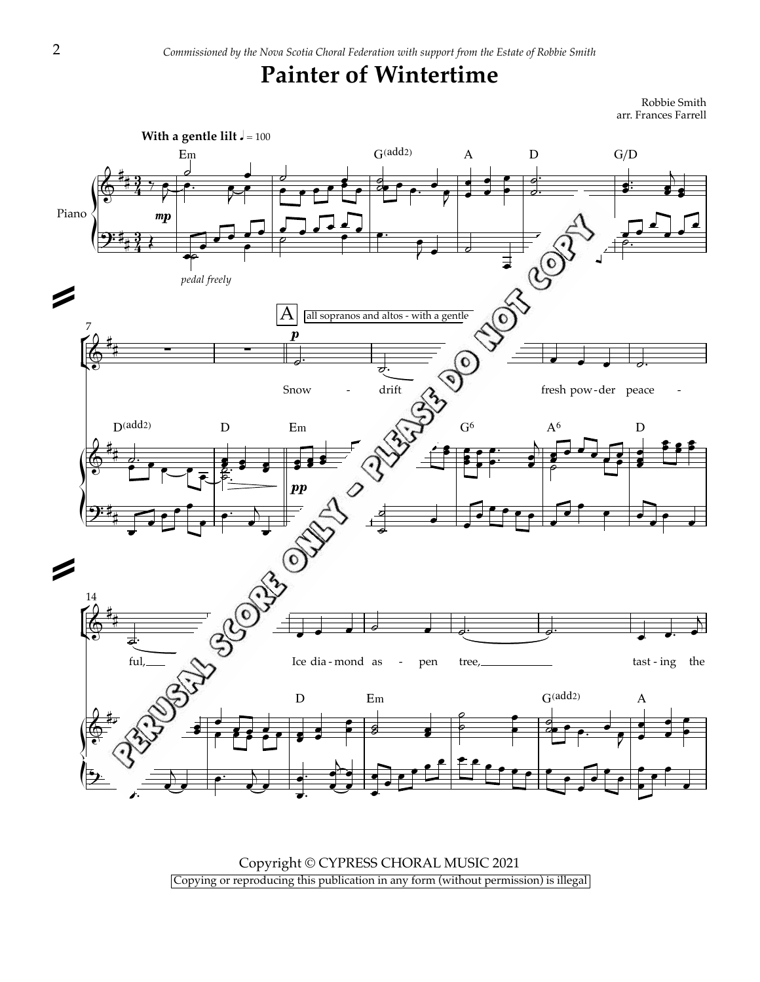## **Painter of Wintertime**

Robbie Smith arr. Frances Farrell



Copyright © CYPRESS CHORAL MUSIC 2021 Copying or reproducing this publication in any form (without permission) is illegal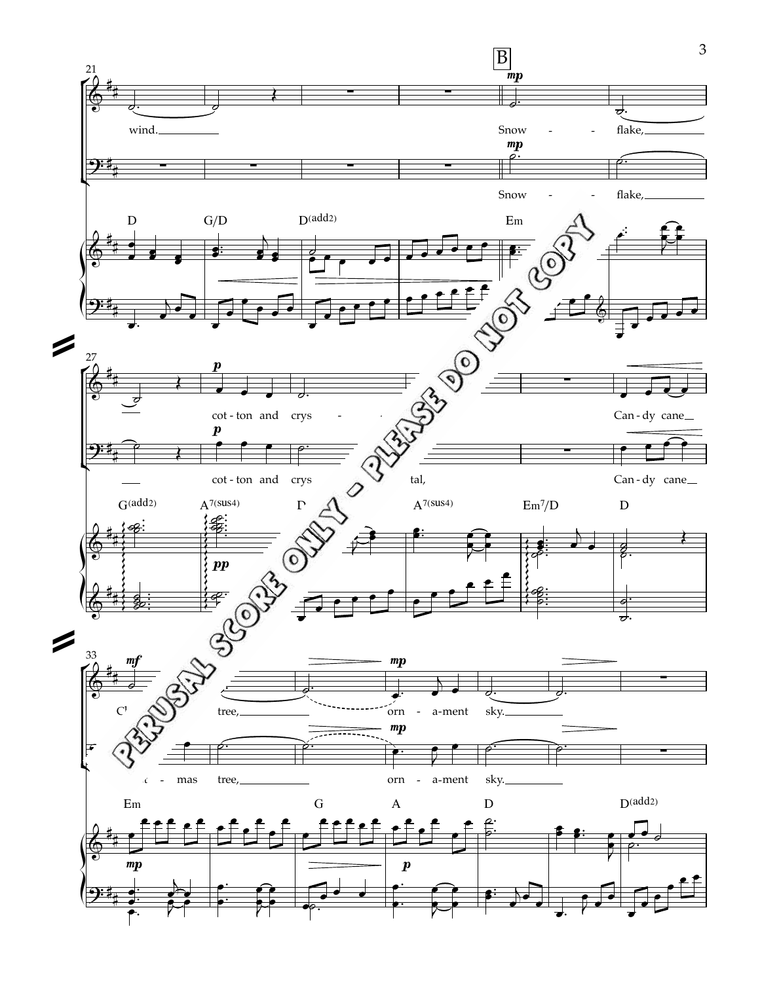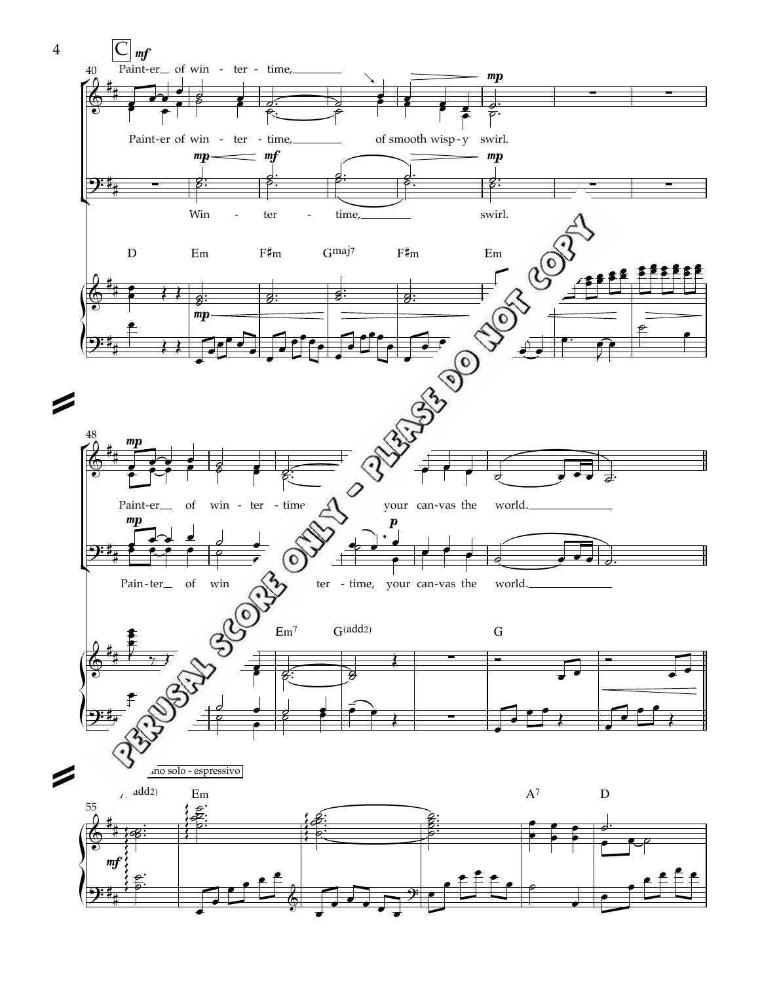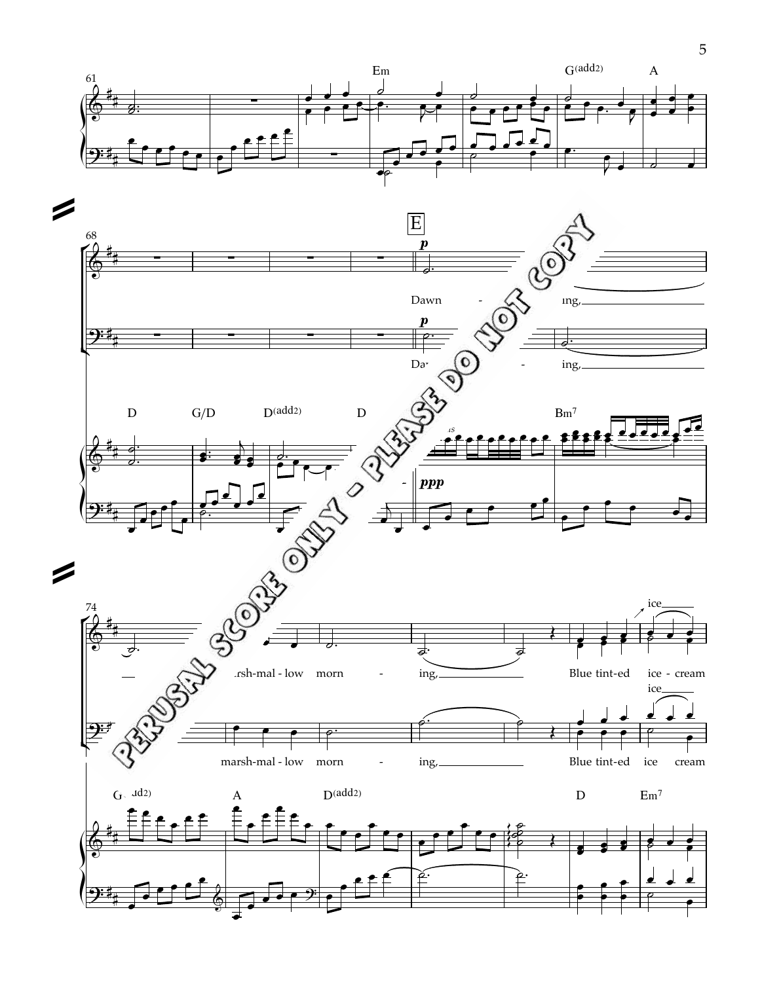

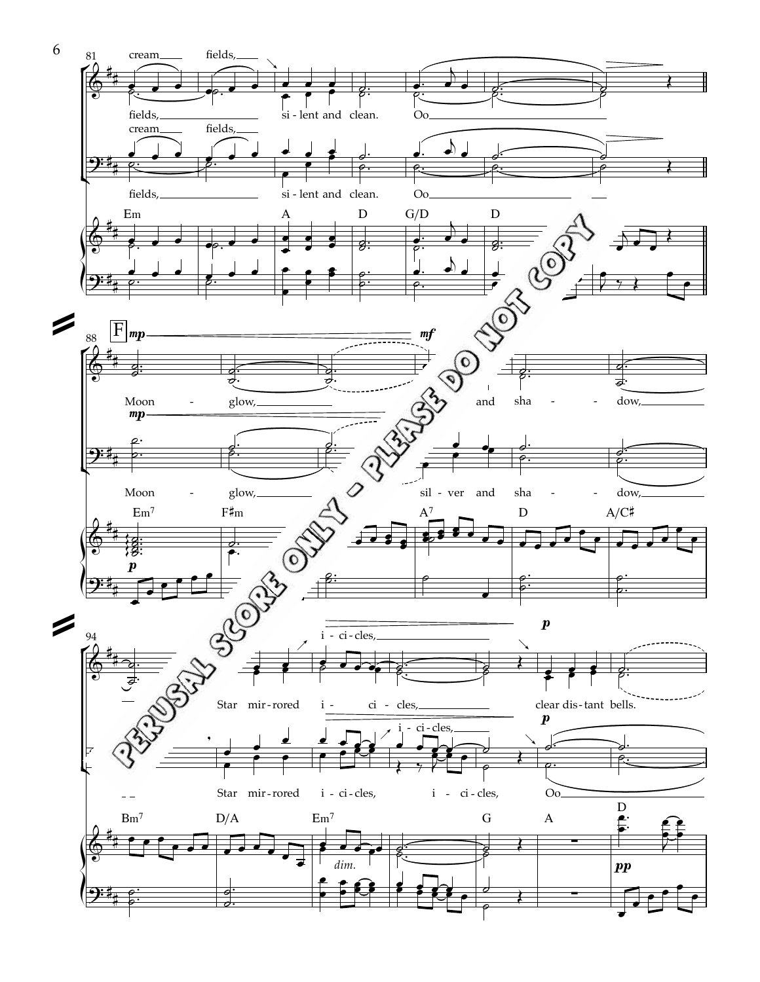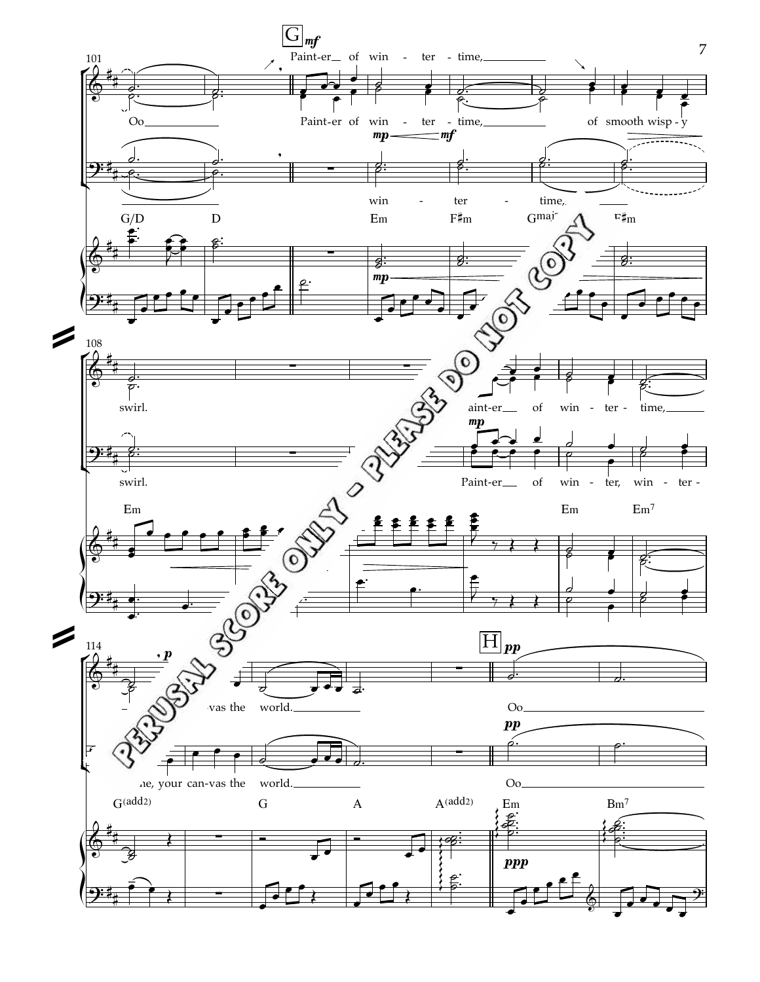